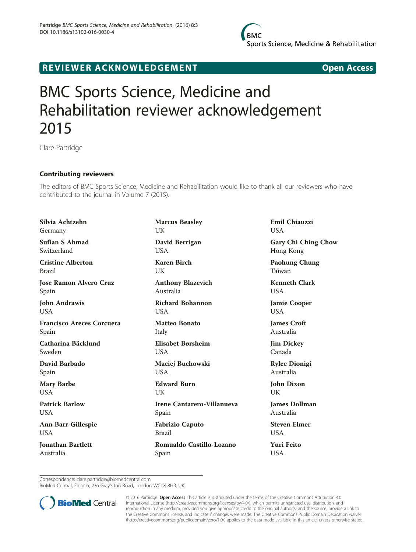

## R EVI EW E R ACKNOW L EDG EM EN T Open Access

## BMC Sports Science, Medicine and Rehabilitation reviewer acknowledgement 2015

Clare Partridge

## Contributing reviewers

The editors of BMC Sports Science, Medicine and Rehabilitation would like to thank all our reviewers who have contributed to the journal in Volume 7 (2015).

Silvia Achtzehn Germany Sufian S Ahmad Switzerland Cristine Alberton Brazil Jose Ramon Alvero Cruz Spain John Andrawis **USA** Francisco Areces Corcuera Spain Catharina Bäcklund Sweden David Barbado Spain Mary Barbe USA Patrick Barlow USA Ann Barr-Gillespie USA Jonathan Bartlett Australia

Marcus Beasley UK David Berrigan USA Karen Birch **I** IK Anthony Blazevich Australia Richard Bohannon **USA** Matteo Bonato Italy Elisabet Børsheim **USA** Maciej Buchowski USA Edward Burn I IK Irene Cantarero-Villanueva Spain Fabrizio Caputo Brazil Romualdo Castillo-Lozano Spain

Emil Chiauzzi **USA** 

Gary Chi Ching Chow Hong Kong

Paohung Chung Taiwan

Kenneth Clark **USA** 

Jamie Cooper USA

James Croft Australia

Jim Dickey Canada

Rylee Dionigi Australia

John Dixon UK

James Dollman Australia

Steven Elmer **USA** 

Yuri Feito USA

Correspondence: [clare.partridge@biomedcentral.com](mailto:clare.partridge@biomedcentral.com)

BioMed Central, Floor 6, 236 Gray's Inn Road, London WC1X 8HB, UK



© 2016 Partridge. Open Access This article is distributed under the terms of the Creative Commons Attribution 4.0 International License [\(http://creativecommons.org/licenses/by/4.0/](http://creativecommons.org/licenses/by/4.0/)), which permits unrestricted use, distribution, and reproduction in any medium, provided you give appropriate credit to the original author(s) and the source, provide a link to the Creative Commons license, and indicate if changes were made. The Creative Commons Public Domain Dedication waiver [\(http://creativecommons.org/publicdomain/zero/1.0/](http://creativecommons.org/publicdomain/zero/1.0/)) applies to the data made available in this article, unless otherwise stated.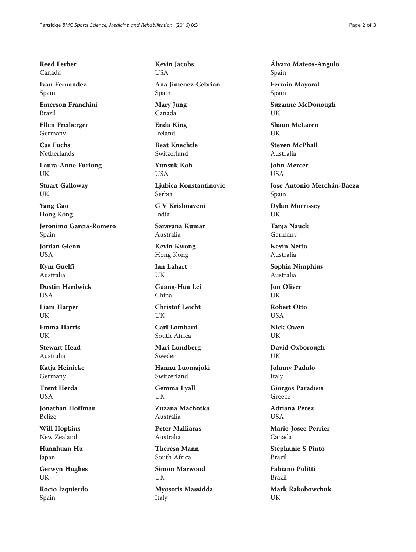Reed Ferber Canada

Ivan Fernandez Spain

Emerson Franchini Brazil

Ellen Freiberger Germany

Cas Fuchs Netherlands

Laura-Anne Furlong UK

Stuart Galloway UK

Yang Gao Hong Kong

Jeronimo Garcia-Romero Spain

Jordan Glenn **USA** 

Kym Guelfi Australia

Dustin Hardwick USA

Liam Harper UK

Emma Harris UK

Stewart Head Australia

Katja Heinicke Germany

Trent Herda **USA** 

Jonathan Hoffman Belize

Will Hopkins New Zealand

Huanhuan Hu Japan

Gerwyn Hughes UK

Rocio Izquierdo Spain

Kevin Jacobs USA

Ana Jimenez-Cebrian Spain

Mary Jung Canada

Enda King Ireland

Beat Knechtle Switzerland

Yunsuk Koh USA

Ljubica Konstantinovic Serbia

G V Krishnaveni India

Saravana Kumar Australia

Kevin Kwong Hong Kong

Ian Lahart UK

Guang-Hua Lei China

Christof Leicht UK

Carl Lombard South Africa

Mari Lundberg Sweden

Hannu Luomajoki Switzerland

Gemma Lyall UK

Zuzana Machotka Australia

Peter Malliaras Australia

Theresa Mann South Africa

Simon Marwood UK

Myosotis Massidda Italy

Álvaro Mateos-Angulo Spain

Fermin Mayoral Spain

Suzanne McDonough UK

Shaun McLaren UK

Steven McPhail Australia

John Mercer **USA** 

Jose Antonio Merchán-Baeza Spain

Dylan Morrissey UK

Tanja Nauck Germany

Kevin Netto Australia

Sophia Nimphius Australia

Jon Oliver UK

Robert Otto **USA** 

Nick Owen UK

David Oxborough UK

Johnny Padulo Italy

Giorgos Paradisis Greece

Adriana Perez **I** ISA

Marie-Josee Perrier Canada

Stephanie S Pinto Brazil

Fabiano Politti Brazil

Mark Rakobowchuk UK